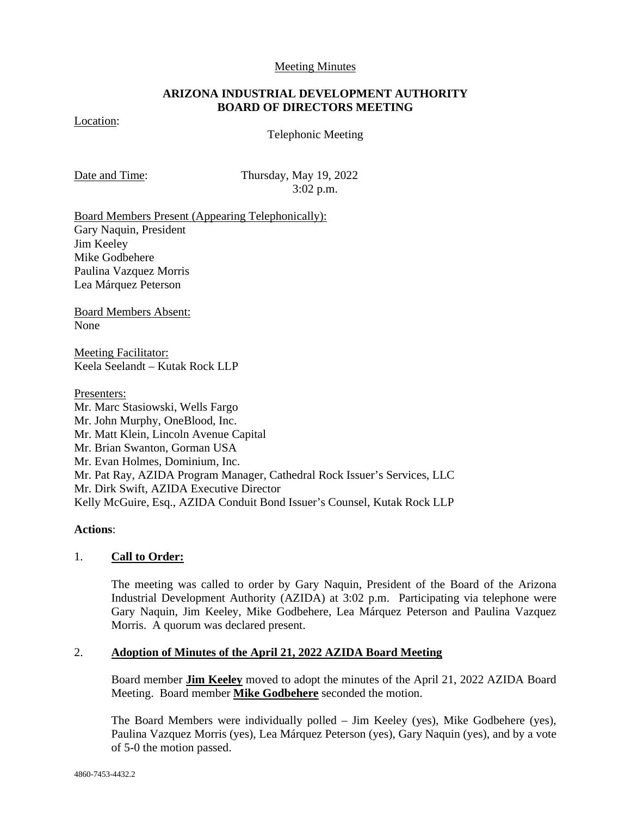#### Meeting Minutes

### **ARIZONA INDUSTRIAL DEVELOPMENT AUTHORITY BOARD OF DIRECTORS MEETING**

## Location:

Telephonic Meeting

Date and Time: Thursday, May 19, 2022 3:02 p.m.

Board Members Present (Appearing Telephonically): Gary Naquin, President Jim Keeley Mike Godbehere Paulina Vazquez Morris Lea Márquez Peterson

Board Members Absent: None

Meeting Facilitator: Keela Seelandt – Kutak Rock LLP

Presenters:

Mr. Marc Stasiowski, Wells Fargo Mr. John Murphy, OneBlood, Inc. Mr. Matt Klein, Lincoln Avenue Capital Mr. Brian Swanton, Gorman USA Mr. Evan Holmes, Dominium, Inc. Mr. Pat Ray, AZIDA Program Manager, Cathedral Rock Issuer's Services, LLC Mr. Dirk Swift, AZIDA Executive Director Kelly McGuire, Esq., AZIDA Conduit Bond Issuer's Counsel, Kutak Rock LLP

**Actions**:

#### 1. **Call to Order:**

The meeting was called to order by Gary Naquin, President of the Board of the Arizona Industrial Development Authority (AZIDA) at 3:02 p.m. Participating via telephone were Gary Naquin, Jim Keeley, Mike Godbehere, Lea Márquez Peterson and Paulina Vazquez Morris. A quorum was declared present.

### 2. **Adoption of Minutes of the April 21, 2022 AZIDA Board Meeting**

Board member **Jim Keeley** moved to adopt the minutes of the April 21, 2022 AZIDA Board Meeting. Board member **Mike Godbehere** seconded the motion.

The Board Members were individually polled – Jim Keeley (yes), Mike Godbehere (yes), Paulina Vazquez Morris (yes), Lea Márquez Peterson (yes), Gary Naquin (yes), and by a vote of 5-0 the motion passed.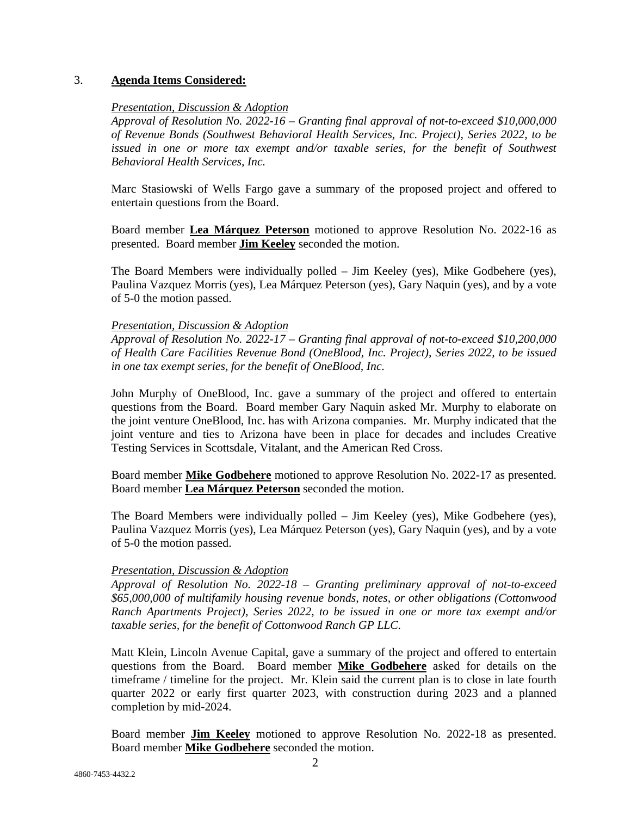### 3. **Agenda Items Considered:**

### *Presentation, Discussion & Adoption*

*Approval of Resolution No. 2022-16 – Granting final approval of not-to-exceed \$10,000,000 of Revenue Bonds (Southwest Behavioral Health Services, Inc. Project), Series 2022, to be*  issued in one or more tax exempt and/or taxable series, for the benefit of Southwest *Behavioral Health Services, Inc.* 

Marc Stasiowski of Wells Fargo gave a summary of the proposed project and offered to entertain questions from the Board.

Board member **Lea Márquez Peterson** motioned to approve Resolution No. 2022-16 as presented. Board member **Jim Keeley** seconded the motion.

The Board Members were individually polled – Jim Keeley (yes), Mike Godbehere (yes), Paulina Vazquez Morris (yes), Lea Márquez Peterson (yes), Gary Naquin (yes), and by a vote of 5-0 the motion passed.

## *Presentation, Discussion & Adoption*

*Approval of Resolution No. 2022-17 – Granting final approval of not-to-exceed \$10,200,000 of Health Care Facilities Revenue Bond (OneBlood, Inc. Project), Series 2022, to be issued in one tax exempt series, for the benefit of OneBlood, Inc.* 

John Murphy of OneBlood, Inc. gave a summary of the project and offered to entertain questions from the Board. Board member Gary Naquin asked Mr. Murphy to elaborate on the joint venture OneBlood, Inc. has with Arizona companies. Mr. Murphy indicated that the joint venture and ties to Arizona have been in place for decades and includes Creative Testing Services in Scottsdale, Vitalant, and the American Red Cross.

Board member **Mike Godbehere** motioned to approve Resolution No. 2022-17 as presented. Board member **Lea Márquez Peterson** seconded the motion.

The Board Members were individually polled – Jim Keeley (yes), Mike Godbehere (yes), Paulina Vazquez Morris (yes), Lea Márquez Peterson (yes), Gary Naquin (yes), and by a vote of 5-0 the motion passed.

# *Presentation, Discussion & Adoption*

*Approval of Resolution No. 2022-18 – Granting preliminary approval of not-to-exceed \$65,000,000 of multifamily housing revenue bonds, notes, or other obligations (Cottonwood Ranch Apartments Project), Series 2022, to be issued in one or more tax exempt and/or taxable series, for the benefit of Cottonwood Ranch GP LLC.* 

Matt Klein, Lincoln Avenue Capital, gave a summary of the project and offered to entertain questions from the Board. Board member **Mike Godbehere** asked for details on the timeframe / timeline for the project. Mr. Klein said the current plan is to close in late fourth quarter 2022 or early first quarter 2023, with construction during 2023 and a planned completion by mid-2024.

Board member **Jim Keeley** motioned to approve Resolution No. 2022-18 as presented. Board member **Mike Godbehere** seconded the motion.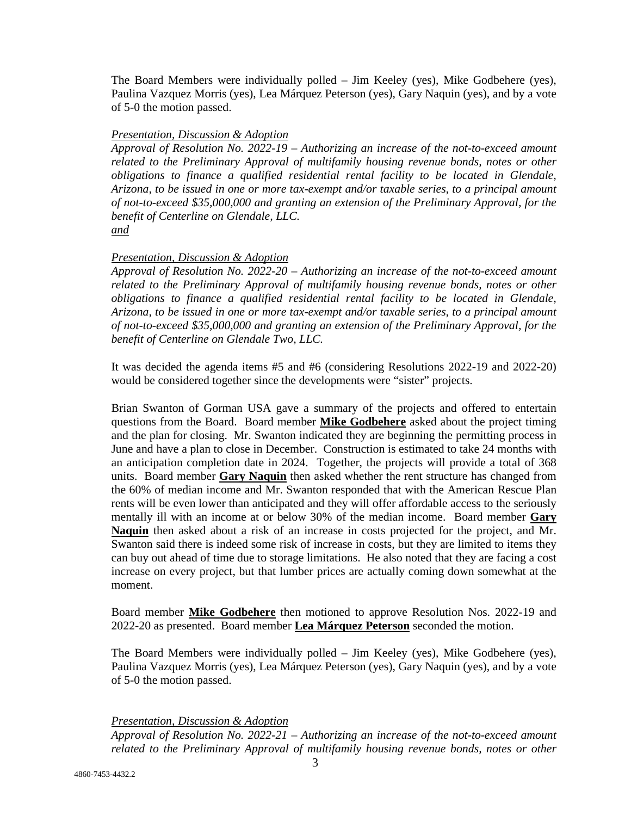The Board Members were individually polled – Jim Keeley (yes), Mike Godbehere (yes), Paulina Vazquez Morris (yes), Lea Márquez Peterson (yes), Gary Naquin (yes), and by a vote of 5-0 the motion passed.

#### *Presentation, Discussion & Adoption*

*Approval of Resolution No. 2022-19 – Authorizing an increase of the not-to-exceed amount related to the Preliminary Approval of multifamily housing revenue bonds, notes or other obligations to finance a qualified residential rental facility to be located in Glendale, Arizona, to be issued in one or more tax-exempt and/or taxable series, to a principal amount of not-to-exceed \$35,000,000 and granting an extension of the Preliminary Approval, for the benefit of Centerline on Glendale, LLC.* 

*and* 

## *Presentation, Discussion & Adoption*

*Approval of Resolution No. 2022-20 – Authorizing an increase of the not-to-exceed amount related to the Preliminary Approval of multifamily housing revenue bonds, notes or other obligations to finance a qualified residential rental facility to be located in Glendale, Arizona, to be issued in one or more tax-exempt and/or taxable series, to a principal amount of not-to-exceed \$35,000,000 and granting an extension of the Preliminary Approval, for the benefit of Centerline on Glendale Two, LLC.* 

It was decided the agenda items #5 and #6 (considering Resolutions 2022-19 and 2022-20) would be considered together since the developments were "sister" projects.

Brian Swanton of Gorman USA gave a summary of the projects and offered to entertain questions from the Board. Board member **Mike Godbehere** asked about the project timing and the plan for closing. Mr. Swanton indicated they are beginning the permitting process in June and have a plan to close in December. Construction is estimated to take 24 months with an anticipation completion date in 2024. Together, the projects will provide a total of 368 units. Board member **Gary Naquin** then asked whether the rent structure has changed from the 60% of median income and Mr. Swanton responded that with the American Rescue Plan rents will be even lower than anticipated and they will offer affordable access to the seriously mentally ill with an income at or below 30% of the median income. Board member **Gary Naquin** then asked about a risk of an increase in costs projected for the project, and Mr. Swanton said there is indeed some risk of increase in costs, but they are limited to items they can buy out ahead of time due to storage limitations. He also noted that they are facing a cost increase on every project, but that lumber prices are actually coming down somewhat at the moment.

Board member **Mike Godbehere** then motioned to approve Resolution Nos. 2022-19 and 2022-20 as presented. Board member **Lea Márquez Peterson** seconded the motion.

The Board Members were individually polled – Jim Keeley (yes), Mike Godbehere (yes), Paulina Vazquez Morris (yes), Lea Márquez Peterson (yes), Gary Naquin (yes), and by a vote of 5-0 the motion passed.

*Presentation, Discussion & Adoption* 

*Approval of Resolution No. 2022-21 – Authorizing an increase of the not-to-exceed amount related to the Preliminary Approval of multifamily housing revenue bonds, notes or other*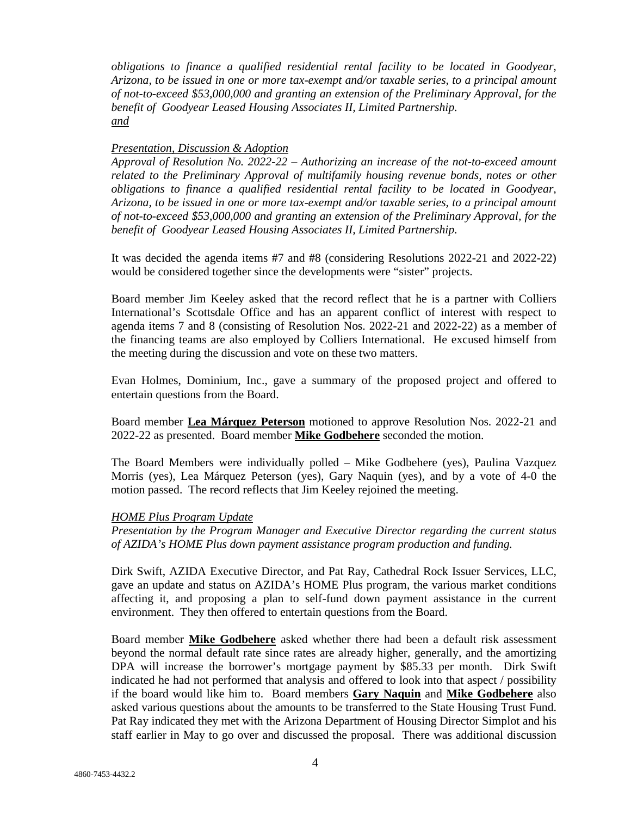*obligations to finance a qualified residential rental facility to be located in Goodyear, Arizona, to be issued in one or more tax-exempt and/or taxable series, to a principal amount of not-to-exceed \$53,000,000 and granting an extension of the Preliminary Approval, for the benefit of Goodyear Leased Housing Associates II, Limited Partnership. and* 

#### *Presentation, Discussion & Adoption*

*Approval of Resolution No. 2022-22 – Authorizing an increase of the not-to-exceed amount related to the Preliminary Approval of multifamily housing revenue bonds, notes or other obligations to finance a qualified residential rental facility to be located in Goodyear, Arizona, to be issued in one or more tax-exempt and/or taxable series, to a principal amount of not-to-exceed \$53,000,000 and granting an extension of the Preliminary Approval, for the benefit of Goodyear Leased Housing Associates II, Limited Partnership.* 

It was decided the agenda items #7 and #8 (considering Resolutions 2022-21 and 2022-22) would be considered together since the developments were "sister" projects.

Board member Jim Keeley asked that the record reflect that he is a partner with Colliers International's Scottsdale Office and has an apparent conflict of interest with respect to agenda items 7 and 8 (consisting of Resolution Nos. 2022-21 and 2022-22) as a member of the financing teams are also employed by Colliers International. He excused himself from the meeting during the discussion and vote on these two matters.

Evan Holmes, Dominium, Inc., gave a summary of the proposed project and offered to entertain questions from the Board.

Board member **Lea Márquez Peterson** motioned to approve Resolution Nos. 2022-21 and 2022-22 as presented. Board member **Mike Godbehere** seconded the motion.

The Board Members were individually polled – Mike Godbehere (yes), Paulina Vazquez Morris (yes), Lea Márquez Peterson (yes), Gary Naquin (yes), and by a vote of 4-0 the motion passed. The record reflects that Jim Keeley rejoined the meeting.

#### *HOME Plus Program Update*

*Presentation by the Program Manager and Executive Director regarding the current status of AZIDA's HOME Plus down payment assistance program production and funding.* 

Dirk Swift, AZIDA Executive Director, and Pat Ray, Cathedral Rock Issuer Services, LLC, gave an update and status on AZIDA's HOME Plus program, the various market conditions affecting it, and proposing a plan to self-fund down payment assistance in the current environment. They then offered to entertain questions from the Board.

Board member **Mike Godbehere** asked whether there had been a default risk assessment beyond the normal default rate since rates are already higher, generally, and the amortizing DPA will increase the borrower's mortgage payment by \$85.33 per month. Dirk Swift indicated he had not performed that analysis and offered to look into that aspect / possibility if the board would like him to. Board members **Gary Naquin** and **Mike Godbehere** also asked various questions about the amounts to be transferred to the State Housing Trust Fund. Pat Ray indicated they met with the Arizona Department of Housing Director Simplot and his staff earlier in May to go over and discussed the proposal. There was additional discussion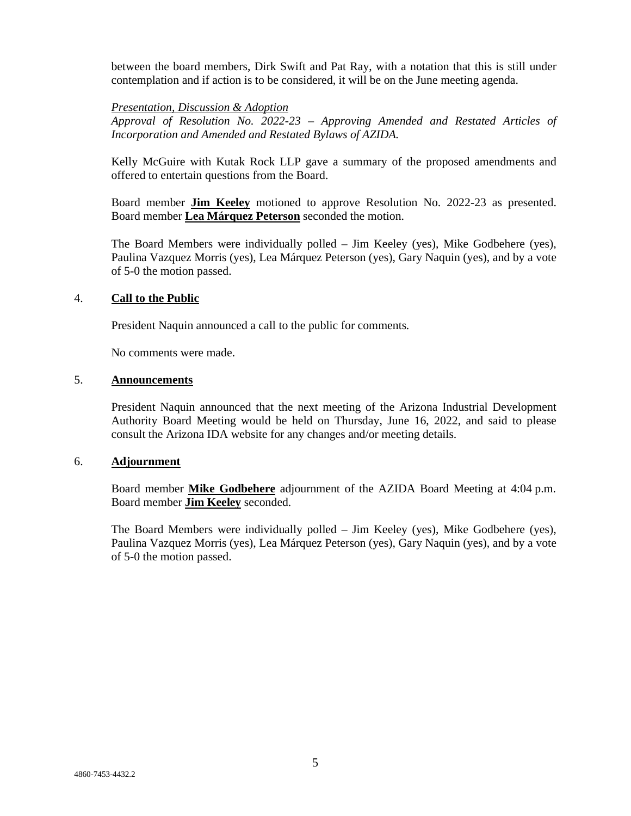between the board members, Dirk Swift and Pat Ray, with a notation that this is still under contemplation and if action is to be considered, it will be on the June meeting agenda.

#### *Presentation, Discussion & Adoption*

*Approval of Resolution No. 2022-23 – Approving Amended and Restated Articles of Incorporation and Amended and Restated Bylaws of AZIDA.* 

Kelly McGuire with Kutak Rock LLP gave a summary of the proposed amendments and offered to entertain questions from the Board.

Board member **Jim Keeley** motioned to approve Resolution No. 2022-23 as presented. Board member **Lea Márquez Peterson** seconded the motion.

The Board Members were individually polled – Jim Keeley (yes), Mike Godbehere (yes), Paulina Vazquez Morris (yes), Lea Márquez Peterson (yes), Gary Naquin (yes), and by a vote of 5-0 the motion passed.

#### 4. **Call to the Public**

President Naquin announced a call to the public for comments*.* 

No comments were made.

## 5. **Announcements**

President Naquin announced that the next meeting of the Arizona Industrial Development Authority Board Meeting would be held on Thursday, June 16, 2022, and said to please consult the Arizona IDA website for any changes and/or meeting details.

#### 6. **Adjournment**

Board member **Mike Godbehere** adjournment of the AZIDA Board Meeting at 4:04 p.m. Board member **Jim Keeley** seconded.

The Board Members were individually polled – Jim Keeley (yes), Mike Godbehere (yes), Paulina Vazquez Morris (yes), Lea Márquez Peterson (yes), Gary Naquin (yes), and by a vote of 5-0 the motion passed.